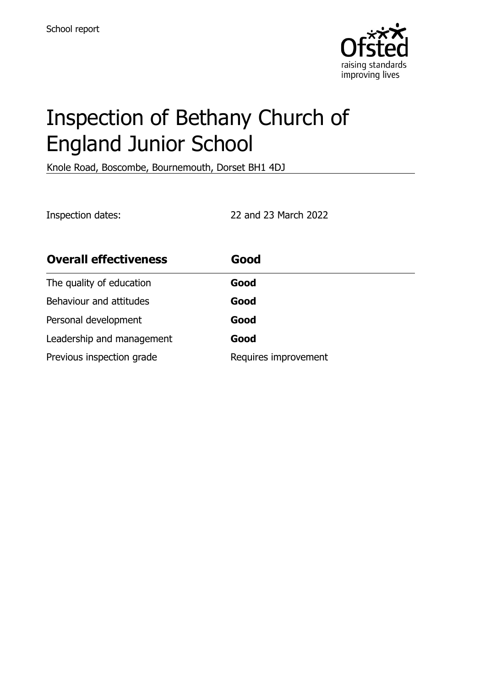

# Inspection of Bethany Church of England Junior School

Knole Road, Boscombe, Bournemouth, Dorset BH1 4DJ

Inspection dates: 22 and 23 March 2022

| <b>Overall effectiveness</b> | Good                 |
|------------------------------|----------------------|
| The quality of education     | Good                 |
| Behaviour and attitudes      | Good                 |
| Personal development         | Good                 |
| Leadership and management    | Good                 |
| Previous inspection grade    | Requires improvement |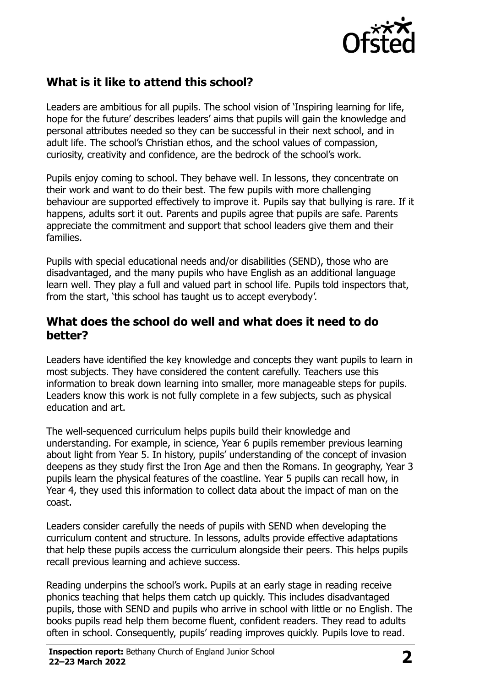

# **What is it like to attend this school?**

Leaders are ambitious for all pupils. The school vision of 'Inspiring learning for life, hope for the future' describes leaders' aims that pupils will gain the knowledge and personal attributes needed so they can be successful in their next school, and in adult life. The school's Christian ethos, and the school values of compassion, curiosity, creativity and confidence, are the bedrock of the school's work.

Pupils enjoy coming to school. They behave well. In lessons, they concentrate on their work and want to do their best. The few pupils with more challenging behaviour are supported effectively to improve it. Pupils say that bullying is rare. If it happens, adults sort it out. Parents and pupils agree that pupils are safe. Parents appreciate the commitment and support that school leaders give them and their families.

Pupils with special educational needs and/or disabilities (SEND), those who are disadvantaged, and the many pupils who have English as an additional language learn well. They play a full and valued part in school life. Pupils told inspectors that, from the start, 'this school has taught us to accept everybody'.

#### **What does the school do well and what does it need to do better?**

Leaders have identified the key knowledge and concepts they want pupils to learn in most subjects. They have considered the content carefully. Teachers use this information to break down learning into smaller, more manageable steps for pupils. Leaders know this work is not fully complete in a few subjects, such as physical education and art.

The well-sequenced curriculum helps pupils build their knowledge and understanding. For example, in science, Year 6 pupils remember previous learning about light from Year 5. In history, pupils' understanding of the concept of invasion deepens as they study first the Iron Age and then the Romans. In geography, Year 3 pupils learn the physical features of the coastline. Year 5 pupils can recall how, in Year 4, they used this information to collect data about the impact of man on the coast.

Leaders consider carefully the needs of pupils with SEND when developing the curriculum content and structure. In lessons, adults provide effective adaptations that help these pupils access the curriculum alongside their peers. This helps pupils recall previous learning and achieve success.

Reading underpins the school's work. Pupils at an early stage in reading receive phonics teaching that helps them catch up quickly. This includes disadvantaged pupils, those with SEND and pupils who arrive in school with little or no English. The books pupils read help them become fluent, confident readers. They read to adults often in school. Consequently, pupils' reading improves quickly. Pupils love to read.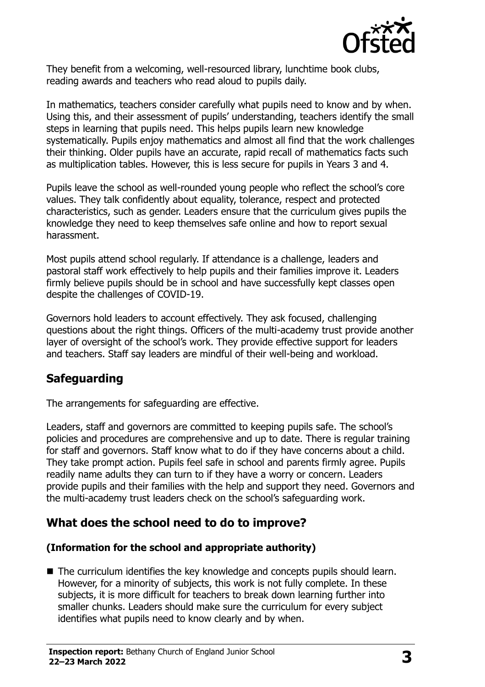

They benefit from a welcoming, well-resourced library, lunchtime book clubs, reading awards and teachers who read aloud to pupils daily.

In mathematics, teachers consider carefully what pupils need to know and by when. Using this, and their assessment of pupils' understanding, teachers identify the small steps in learning that pupils need. This helps pupils learn new knowledge systematically. Pupils enjoy mathematics and almost all find that the work challenges their thinking. Older pupils have an accurate, rapid recall of mathematics facts such as multiplication tables. However, this is less secure for pupils in Years 3 and 4.

Pupils leave the school as well-rounded young people who reflect the school's core values. They talk confidently about equality, tolerance, respect and protected characteristics, such as gender. Leaders ensure that the curriculum gives pupils the knowledge they need to keep themselves safe online and how to report sexual harassment.

Most pupils attend school regularly. If attendance is a challenge, leaders and pastoral staff work effectively to help pupils and their families improve it. Leaders firmly believe pupils should be in school and have successfully kept classes open despite the challenges of COVID-19.

Governors hold leaders to account effectively. They ask focused, challenging questions about the right things. Officers of the multi-academy trust provide another layer of oversight of the school's work. They provide effective support for leaders and teachers. Staff say leaders are mindful of their well-being and workload.

# **Safeguarding**

The arrangements for safeguarding are effective.

Leaders, staff and governors are committed to keeping pupils safe. The school's policies and procedures are comprehensive and up to date. There is regular training for staff and governors. Staff know what to do if they have concerns about a child. They take prompt action. Pupils feel safe in school and parents firmly agree. Pupils readily name adults they can turn to if they have a worry or concern. Leaders provide pupils and their families with the help and support they need. Governors and the multi-academy trust leaders check on the school's safeguarding work.

# **What does the school need to do to improve?**

#### **(Information for the school and appropriate authority)**

■ The curriculum identifies the key knowledge and concepts pupils should learn. However, for a minority of subjects, this work is not fully complete. In these subjects, it is more difficult for teachers to break down learning further into smaller chunks. Leaders should make sure the curriculum for every subject identifies what pupils need to know clearly and by when.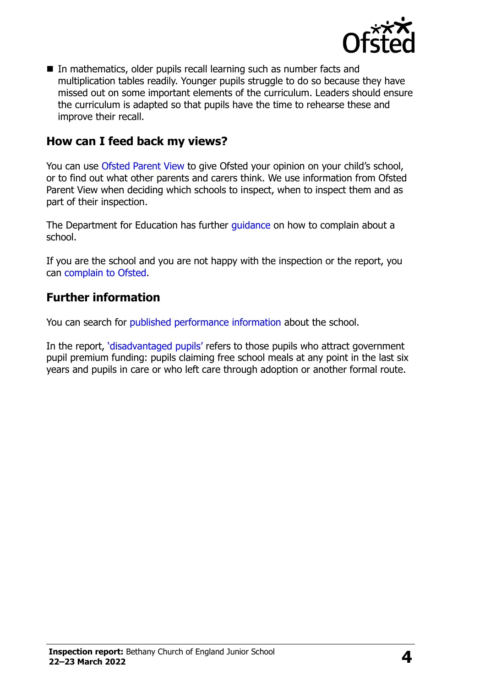

■ In mathematics, older pupils recall learning such as number facts and multiplication tables readily. Younger pupils struggle to do so because they have missed out on some important elements of the curriculum. Leaders should ensure the curriculum is adapted so that pupils have the time to rehearse these and improve their recall.

### **How can I feed back my views?**

You can use [Ofsted Parent View](http://parentview.ofsted.gov.uk/) to give Ofsted your opinion on your child's school, or to find out what other parents and carers think. We use information from Ofsted Parent View when deciding which schools to inspect, when to inspect them and as part of their inspection.

The Department for Education has further quidance on how to complain about a school.

If you are the school and you are not happy with the inspection or the report, you can [complain to Ofsted.](http://www.gov.uk/complain-ofsted-report)

#### **Further information**

You can search for [published performance information](http://www.compare-school-performance.service.gov.uk/) about the school.

In the report, '[disadvantaged pupils](http://www.gov.uk/guidance/pupil-premium-information-for-schools-and-alternative-provision-settings)' refers to those pupils who attract government pupil premium funding: pupils claiming free school meals at any point in the last six years and pupils in care or who left care through adoption or another formal route.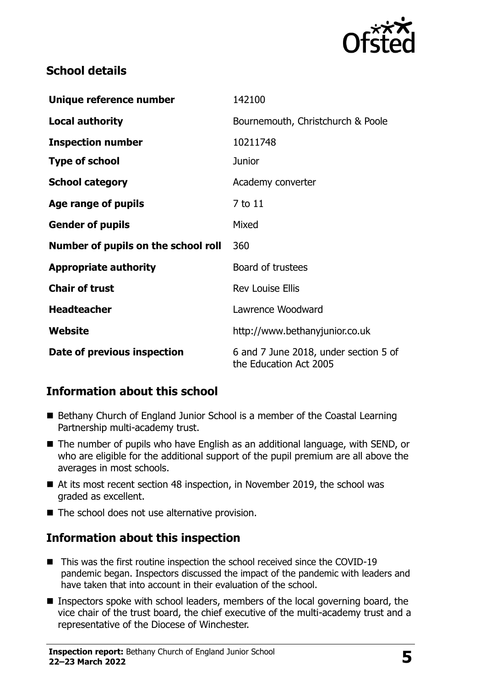

## **School details**

| Unique reference number             | 142100                                                          |  |
|-------------------------------------|-----------------------------------------------------------------|--|
| <b>Local authority</b>              | Bournemouth, Christchurch & Poole                               |  |
| <b>Inspection number</b>            | 10211748                                                        |  |
| <b>Type of school</b>               | <b>Junior</b>                                                   |  |
| <b>School category</b>              | Academy converter                                               |  |
| Age range of pupils                 | 7 to 11                                                         |  |
| <b>Gender of pupils</b>             | Mixed                                                           |  |
| Number of pupils on the school roll | 360                                                             |  |
| <b>Appropriate authority</b>        | Board of trustees                                               |  |
| <b>Chair of trust</b>               | <b>Rev Louise Ellis</b>                                         |  |
| <b>Headteacher</b>                  | Lawrence Woodward                                               |  |
| Website                             | http://www.bethanyjunior.co.uk                                  |  |
| Date of previous inspection         | 6 and 7 June 2018, under section 5 of<br>the Education Act 2005 |  |

# **Information about this school**

- Bethany Church of England Junior School is a member of the Coastal Learning Partnership multi-academy trust.
- The number of pupils who have English as an additional language, with SEND, or who are eligible for the additional support of the pupil premium are all above the averages in most schools.
- At its most recent section 48 inspection, in November 2019, the school was graded as excellent.
- The school does not use alternative provision.

# **Information about this inspection**

- This was the first routine inspection the school received since the COVID-19 pandemic began. Inspectors discussed the impact of the pandemic with leaders and have taken that into account in their evaluation of the school.
- Inspectors spoke with school leaders, members of the local governing board, the vice chair of the trust board, the chief executive of the multi-academy trust and a representative of the Diocese of Winchester.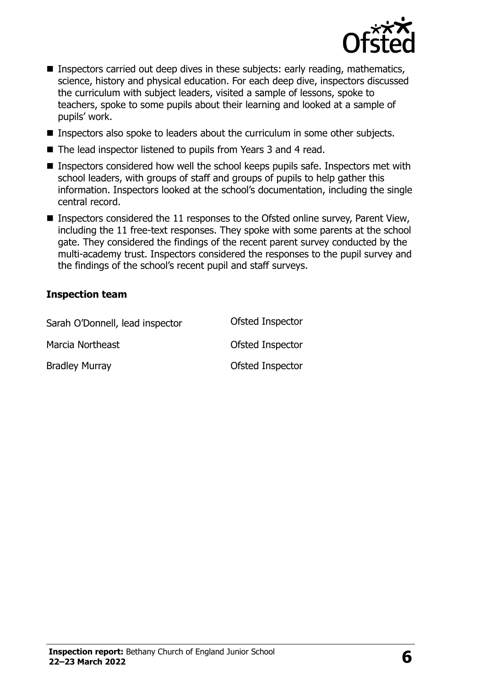

- Inspectors carried out deep dives in these subjects: early reading, mathematics, science, history and physical education. For each deep dive, inspectors discussed the curriculum with subject leaders, visited a sample of lessons, spoke to teachers, spoke to some pupils about their learning and looked at a sample of pupils' work.
- **Inspectors also spoke to leaders about the curriculum in some other subjects.**
- The lead inspector listened to pupils from Years 3 and 4 read.
- Inspectors considered how well the school keeps pupils safe. Inspectors met with school leaders, with groups of staff and groups of pupils to help gather this information. Inspectors looked at the school's documentation, including the single central record.
- Inspectors considered the 11 responses to the Ofsted online survey, Parent View, including the 11 free-text responses. They spoke with some parents at the school gate. They considered the findings of the recent parent survey conducted by the multi-academy trust. Inspectors considered the responses to the pupil survey and the findings of the school's recent pupil and staff surveys.

#### **Inspection team**

| Sarah O'Donnell, lead inspector | Ofsted Inspector |
|---------------------------------|------------------|
| Marcia Northeast                | Ofsted Inspector |
| <b>Bradley Murray</b>           | Ofsted Inspector |